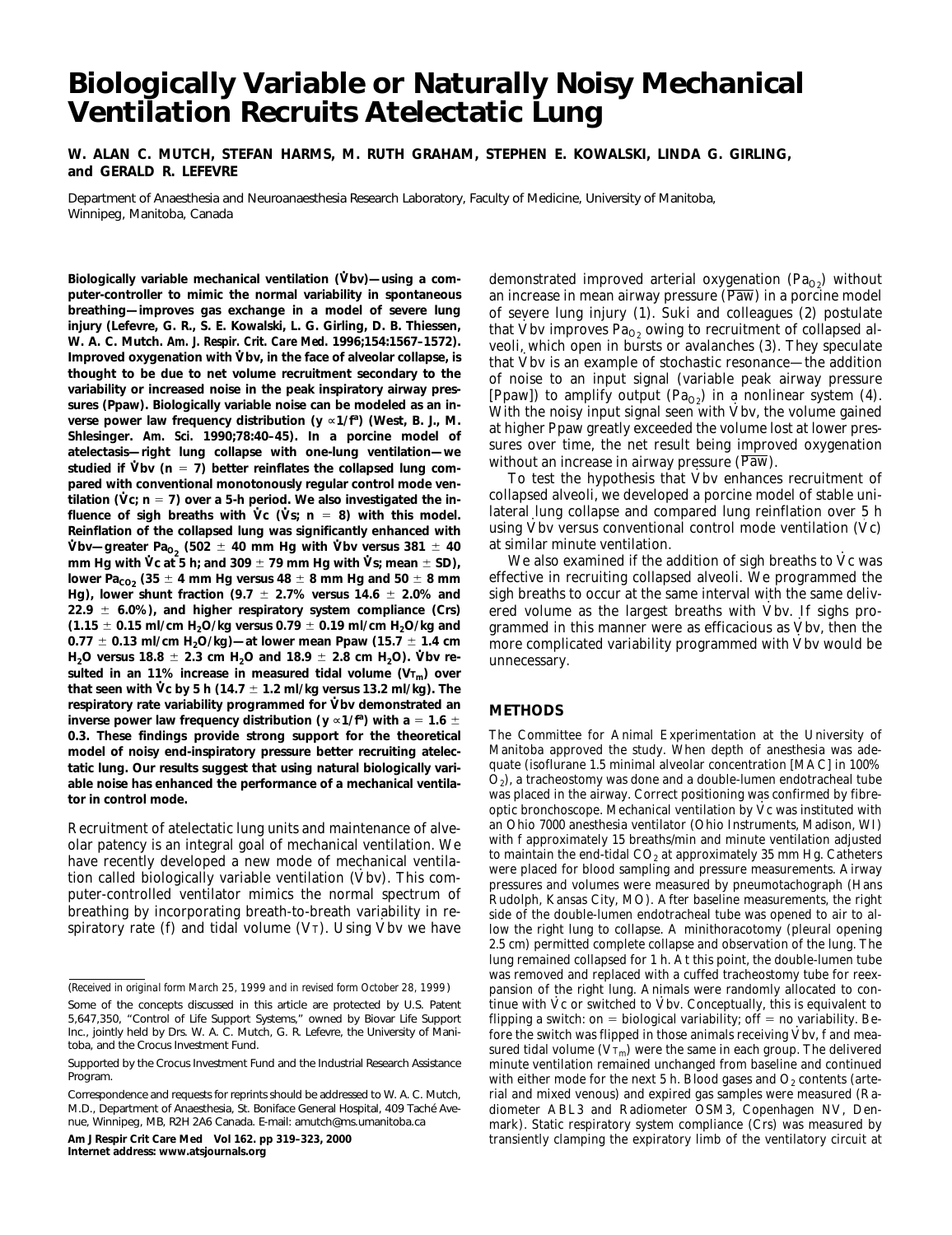# **Biologically Variable or Naturally Noisy Mechanical Ventilation Recruits Atelectatic Lung**

**W. ALAN C. MUTCH, STEFAN HARMS, M. RUTH GRAHAM, STEPHEN E. KOWALSKI, LINDA G. GIRLING, and GERALD R. LEFEVRE**

Department of Anaesthesia and Neuroanaesthesia Research Laboratory, Faculty of Medicine, University of Manitoba, Winnipeg, Manitoba, Canada

Biologically variable mechanical ventilation (Vbv)—using a com**puter-controller to mimic the normal variability in spontaneous breathing—improves gas exchange in a model of severe lung injury (Lefevre, G. R., S. E. Kowalski, L. G. Girling, D. B. Thiessen, W. A. C. Mutch.** *Am. J. Respir. Crit. Care Med.* **1996;154:1567–1572).** Improved oxygenation with V bv, in the face of alveolar collapse, is **thought to be due to net volume recruitment secondary to the variability or increased noise in the peak inspiratory airway pressures (Ppaw). Biologically variable noise can be modeled as an in**verse power law frequency distribution (y «1/f<sup>a</sup>) (West, B. J., M. **Shlesinger.** *Am. Sci.* **1990;78:40–45). In a porcine model of atelectasis—right lung collapse with one-lung ventilation—we .** studied if  $\check{V}$ bv (n = 7) better reinflates the collapsed lung com**pared with conventional monotonously regular control mode ventilation** ( $Vc$ ;  $n = 7$ ) over a 5-h period. We also investigated the influence of sigh breaths with  $\forall$ c ( $\forall$ s; n = 8) with this model. **Reinflation of the collapsed lung was significantly enhanced with . bv—greater Pa**<sub> $0<sub>2</sub>$  (502  $\pm$  40 mm Hg with Vbv versus 381  $\pm$  40</sub> **mm Hg with Vc at 5 h; and 309**  $\pm$  **79 mm Hg with Vs; mean**  $\pm$  **SD),** lower Pa<sub>cO2</sub> (35  $\pm$  4 mm Hg versus 48  $\pm$  8 mm Hg and 50  $\pm$  8 mm **Hg), lower shunt fraction (9.7**  $\pm$  2.7% versus 14.6  $\pm$  2.0% and **22.9** 6 **6.0%), and higher respiratory system compliance (Crs)**  $(1.15 \pm 0.15 \text{ ml/cm H}_2\text{O/kg}$  versus 0.79  $\pm$  0.19 ml/cm H<sub>2</sub>O/kg and **0.77** 6 **0.13 ml/cm H2O/kg)—at lower mean Ppaw (15.7** 6 **1.4 cm .**  $H_2O$  versus 18.8  $\pm$  2.3 cm  $H_2O$  and 18.9  $\pm$  2.8 cm  $H_2O$ ). Vbv resulted in an 11% increase in measured tidal volume (V<sub>Tm</sub>) over<br>that committe is by Fit (11.7 + 1.8 mH/hm www.12.9 mH/m). The **that seen with**  $\dot{V}$ **c by 5 h (14.7**  $\pm$  1.2 ml/kg versus 13.2 ml/kg). The respiratory rate variability programmed for Vbv demonstrated an inverse power law frequency distribution (y ∝1/f<sup>a</sup>) with a = 1.6  $\pm$ **0.3. These findings provide strong support for the theoretical model of noisy end-inspiratory pressure better recruiting atelectatic lung. Our results suggest that using natural biologically variable noise has enhanced the performance of a mechanical ventilator in control mode.**

Recruitment of atelectatic lung units and maintenance of alveolar patency is an integral goal of mechanical ventilation. We have recently developed a new mode of mechanical ventilarave recently developed a new mode or mechanical ventilation called biologically variable ventilation (Vbv). This computer-controlled ventilator mimics the normal spectrum of breathing by incorporating breath-to-breath variability in respiratory rate (f) and tidal volume (Vт). Using Vbv we have

**Am J Respir Crit Care Med Vol 162. pp 319–323, 2000 Internet address: www.atsjournals.org**

demonstrated improved arterial oxygenation  $(Pa_{Q_2})$  without an increase in mean airway pressure (Paw) in a porcine model of severe lung injury (1). Suki and colleagues (2) postulate that Vbv improves  $Pa<sub>O2</sub>$  owing to recruitment of collapsed alveoli, which open in bursts or avalanches (3). They speculate · that Vbv is an example of stochastic resonance—the addition of noise to an input signal (variable peak airway pressure [Ppaw]) to amplify output (Pa<sub>O2</sub>) in a nonlinear system (4). With the noisy input signal seen with Vbv, the volume gained at higher Ppaw greatly exceeded the volume lost at lower pressures over time, the net result being improved oxygenation without an increase in airway pressure (Paw).

To test the hypothesis that Vbv enhances recruitment of collapsed alveoli, we developed a porcine model of stable unilateral lung collapse and compared lung reinflation over 5 h reaction takes and compared rang remnation over  $\ddot{\textbf{y}}$  in using Vbv versus conventional control mode ventilation  $(\dot{\text{Vc}})$ at similar minute ventilation.

whe also examined if the addition of sigh breaths to Vc was effective in recruiting collapsed alveoli. We programmed the sigh breaths to occur at the same interval with the same delivered volume as the largest breaths with Vbv. If sighs programmed in this manner were as efficacious as Vbv, then the more complicated variability programmed with Vbv would be unnecessary. ·

# **METHODS**

The Committee for Animal Experimentation at the University of Manitoba approved the study. When depth of anesthesia was adequate (isoflurane 1.5 minimal alveolar concentration [MAC] in 100%  $O<sub>2</sub>$ ), a tracheostomy was done and a double-lumen endotracheal tube was placed in the airway. Correct positioning was confirmed by fibrewas placed in the an way. Correct positioning was committed by inde-<br>optic bronchoscope. Mechanical ventilation by Vc was instituted with an Ohio 7000 anesthesia ventilator (Ohio Instruments, Madison, WI) with f approximately 15 breaths/min and minute ventilation adjusted to maintain the end-tidal  $CO<sub>2</sub>$  at approximately 35 mm Hg. Catheters were placed for blood sampling and pressure measurements. Airway pressures and volumes were measured by pneumotachograph (Hans Rudolph, Kansas City, MO). After baseline measurements, the right side of the double-lumen endotracheal tube was opened to air to allow the right lung to collapse. A minithoracotomy (pleural opening 2.5 cm) permitted complete collapse and observation of the lung. The lung remained collapsed for 1 h. At this point, the double-lumen tube was removed and replaced with a cuffed tracheostomy tube for reexpansion of the right lung. Animals were randomly allocated to conpaision of the right lung. Animals were randomly anotated to continue with Vc or switched to Vbv. Conceptually, this is equivalent to flipping a switch: on = biological variability; off = no variability. Be $m$  and  $m$ , for  $m$  is determined in those animals receiving  $\dot{V}$  bv, f and measured tidal volume  $(\overline{V_{T_m}})$  were the same in each group. The delivered minute ventilation remained unchanged from baseline and continued with either mode for the next 5 h. Blood gases and  $O_2$  contents (arterial and mixed venous) and expired gas samples were measured (Radiometer ABL3 and Radiometer OSM3, Copenhagen NV, Denmark). Static respiratory system compliance (Crs) was measured by transiently clamping the expiratory limb of the ventilatory circuit at

<sup>(</sup>*Received in original form March 25, 1999 and in revised form October 28, 1999*)

Some of the concepts discussed in this article are protected by U.S. Patent 5,647,350, "Control of Life Support Systems," owned by Biovar Life Support Inc., jointly held by Drs. W. A. C. Mutch, G. R. Lefevre, the University of Manitoba, and the Crocus Investment Fund.

Supported by the Crocus Investment Fund and the Industrial Research Assistance Program.

Correspondence and requests for reprints should be addressed to W. A. C. Mutch, M.D., Department of Anaesthesia, St. Boniface General Hospital, 409 Taché Avenue, Winnipeg, MB, R2H 2A6 Canada. E-mail: amutch@ms.umanitoba.ca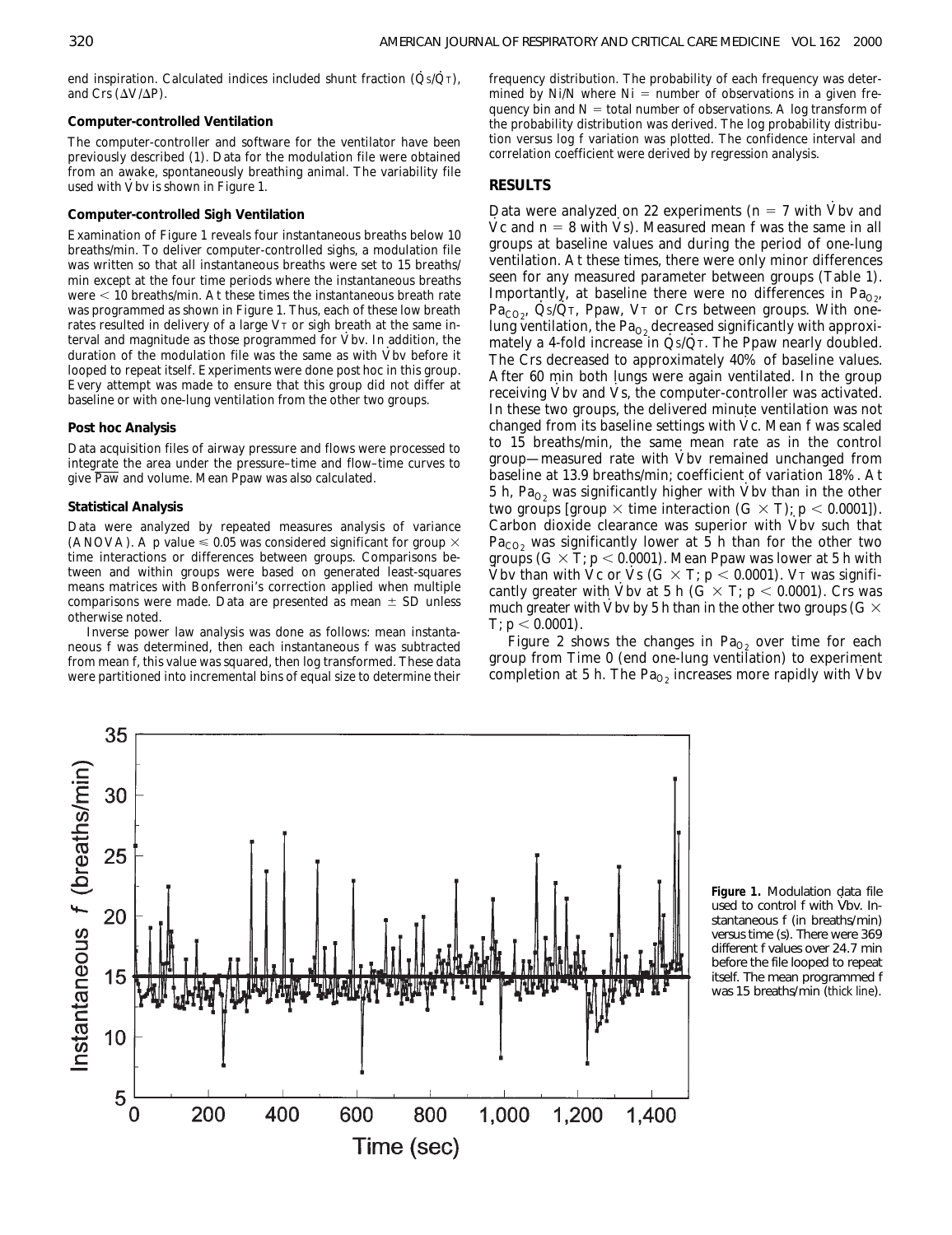end inspiration. Calculated indices included shunt fraction  $(\dot Q_S/\dot Q_T)$ , and Crs  $(\Delta V/\Delta P)$ .

### **Computer-controlled Ventilation**

The computer-controller and software for the ventilator have been previously described (1). Data for the modulation file were obtained from an awake, spontaneously breathing animal. The variability file from an awake, spontaneously ble<br>used with Vbv is shown in Figure 1.

## **Computer-controlled Sigh Ventilation**

Examination of Figure 1 reveals four instantaneous breaths below 10 breaths/min. To deliver computer-controlled sighs, a modulation file was written so that all instantaneous breaths were set to 15 breaths/ min except at the four time periods where the instantaneous breaths were  $<$  10 breaths/min. At these times the instantaneous breath rate was programmed as shown in Figure 1. Thus, each of these low breath rates resulted in delivery of a large VT or sigh breath at the same inrates resulted in delivery or a large V<sub>1</sub> or sign breath at the same in-<br>terval and magnitude as those programmed for Vbv. In addition, the duration of the modulation file was the same as with Vbv before it looped to repeat itself. Experiments were done *post hoc* in this group. Every attempt was made to ensure that this group did not differ at baseline or with one-lung ventilation from the other two groups. ·

#### **Post hoc Analysis**

Data acquisition files of airway pressure and flows were processed to integrate the area under the pressure–time and flow–time curves to give Paw and volume. Mean Ppaw was also calculated.

# **Statistical Analysis**

Data were analyzed by repeated measures analysis of variance (ANOVA). A p value  $\leq 0.05$  was considered significant for group  $\times$ time interactions or differences between groups. Comparisons between and within groups were based on generated least-squares means matrices with Bonferroni's correction applied when multiple comparisons were made. Data are presented as mean  $\pm$  SD unless otherwise noted.

Inverse power law analysis was done as follows: mean instantaneous f was determined, then each instantaneous f was subtracted from mean f, this value was squared, then log transformed. These data were partitioned into incremental bins of equal size to determine their

frequency distribution. The probability of each frequency was determined by Ni/N where  $Ni =$  number of observations in a given frequency bin and  $N =$  total number of observations. A log transform of the probability distribution was derived. The log probability distribution versus log f variation was plotted. The confidence interval and correlation coefficient were derived by regression analysis.

## **RESULTS**

Data were analyzed on 22 experiments  $(n = 7 \text{ with } \dot{\text{V}})$  and Data were analyzed on  $\mathbb{Z}^2$  experiments (if  $\mathbb{Z}^2$  with vbv and  $\mathbf{V}$ c and  $\mathbf{n} = 8$  with Vs). Measured mean f was the same in all groups at baseline values and during the period of one-lung ventilation. At these times, there were only minor differences seen for any measured parameter between groups (Table 1). Importantly, at baseline there were no differences in  $Pa<sub>O2</sub>$ ,  $Pa_{CO<sub>2</sub>}$ , Qs/Q $T$ , Ppaw, V $T$  or Crs between groups. With onelung ventilation, the  $Pa<sub>O2</sub>$  decreased significantly with approxireflix a 4-fold increase in  $\dot{Q}_5/\dot{Q}_T$ . The Ppaw nearly doubled. The Crs decreased to approximately 40% of baseline values. After 60 min both lungs were again ventilated. In the group First to him both lungs were again ventuated. In the group<br>receiving Vbv and Vs, the computer-controller was activated. In these two groups, the delivered minute ventilation was not changed from its baseline settings with Vc. Mean f was scaled to 15 breaths/min, the same mean rate as in the control · group—measured rate with Vbv remained unchanged from baseline at 13.9 breaths/min; coefficient of variation 18%. At baseline at 15.5 breakismin, coefficient of variation 1676. At 5 h,  $Pa_{O_2}$  was significantly higher with Vbv than in the other two groups [group  $\times$  time interaction (G  $\times$  T); p  $<$  0.0001]). Carbon dioxide clearance was superior with  $V$ bv such that  $Pa_{CO_2}$  was significantly lower at 5 h than for the other two groups  $(G \times T; p < 0.0001)$ . Mean Ppaw was lower at 5 h with Vbv than with Vc or Vs  $(G \times T; p < 0.0001)$ . VT was signifi-<br>Vbv than with Vc or Vs  $(G \times T; p < 0.0001)$ . VT was significantly greater with Vbv at 5 h (G  $\times$  T; p  $<$  0.0001). Crs was eanily greater with Vbv at 3 if  $(G \times 1, p \times 0.0001)$ . Cis was<br>much greater with Vbv by 5 h than in the other two groups  $(G \times$ T;  $p < 0.0001$ ).

Figure 2 shows the changes in  $Pa<sub>O2</sub>$  over time for each group from Time 0 (end one-lung ventilation) to experiment group from Time  $\sigma$  (end one-rang vendation) to experiment<br>completion at 5 h. The  $Pa_{O_2}$  increases more rapidly with Vbv



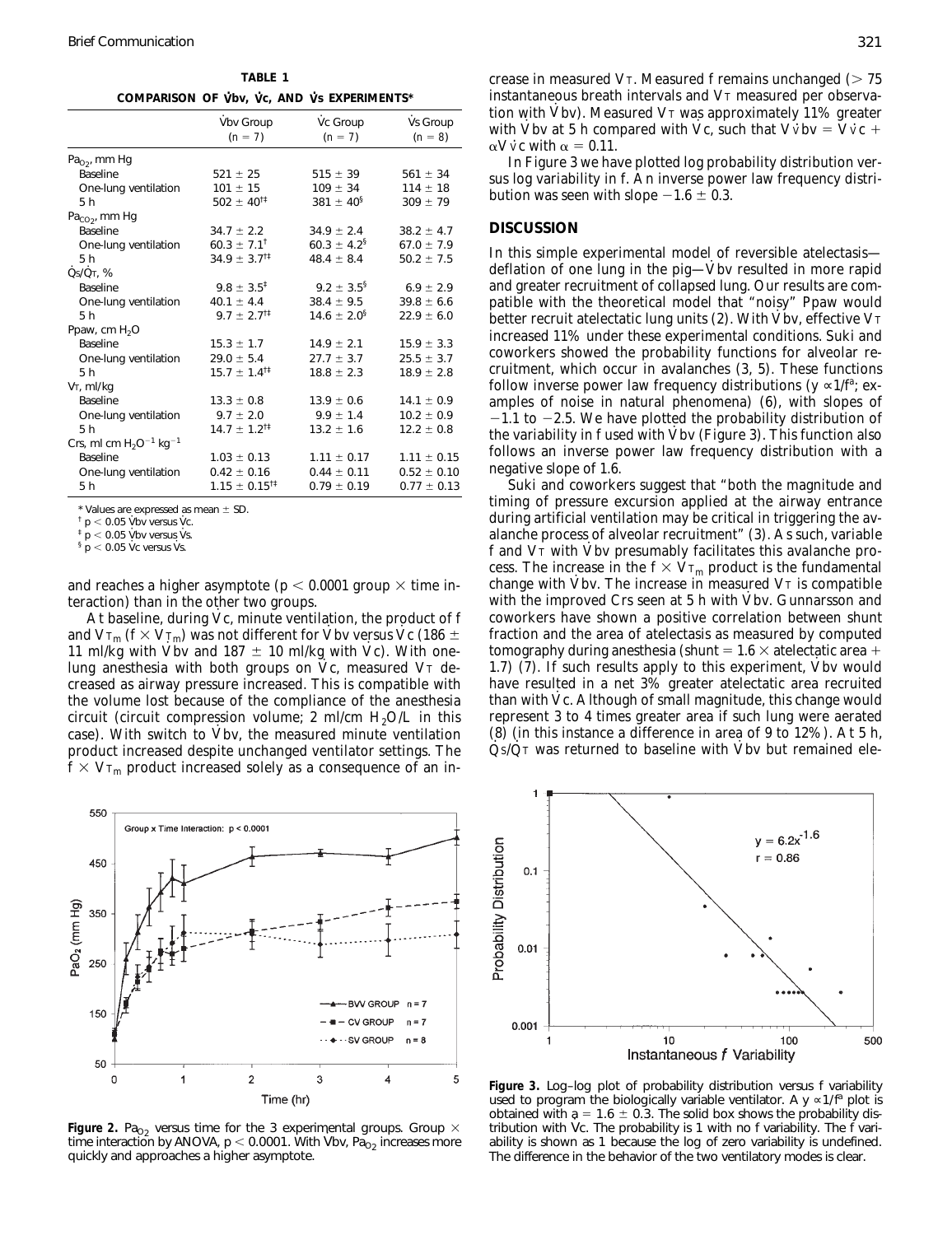$V$  **COMPARISON OF Vbv, Vc, AND Vs EXPERIMENTS\*** 

**TABLE 1**

|                                         | Vbv Group<br>$(n = 7)$            | Vc Group<br>$(n = 7)$     | Vs Group<br>$(n = 8)$ |
|-----------------------------------------|-----------------------------------|---------------------------|-----------------------|
| $PaO2$ , mm Hg                          |                                   |                           |                       |
| <b>Baseline</b>                         | $521 \pm 25$                      | $515 \pm 39$              | $561 \pm 34$          |
| One-lung ventilation                    | $101 \pm 15$                      | $109 \pm 34$              | $114 \pm 18$          |
| 5h                                      | $502 \pm 40^{11}$                 | 381 $\pm$ 40 <sup>§</sup> | $309 \pm 79$          |
| $PaCO2$ , mm Hg                         |                                   |                           |                       |
| <b>Baseline</b>                         | $34.7 \pm 2.2$                    | $34.9 \pm 2.4$            | $38.2 \pm 4.7$        |
| One-lung ventilation                    | $60.3 \pm 7.1^{\dagger}$          | $60.3 \pm 4.2^5$          | $67.0 \pm 7.9$        |
| 5h                                      | $34.9 \pm 3.7^{\dagger\ddagger}$  | $48.4 \pm 8.4$            | $50.2 \pm 7.5$        |
| $\dot{Q} s / \dot{Q} \tau$ , %          |                                   |                           |                       |
| <b>Baseline</b>                         | $9.8 \pm 3.5^{\ddagger}$          | $9.2 \pm 3.5^5$           | $6.9 \pm 2.9$         |
| One-lung ventilation                    | $40.1 \pm 4.4$                    | $38.4 \pm 9.5$            | $39.8 \pm 6.6$        |
| 5h                                      | $9.7 \pm 2.7^{\dagger\ddagger}$   | $14.6 \pm 2.0^5$          | $22.9 \pm 6.0$        |
| Ppaw, cm $H_2O$                         |                                   |                           |                       |
| <b>Baseline</b>                         | $15.3 \pm 1.7$                    | $14.9 \pm 2.1$            | $15.9 \pm 3.3$        |
| One-lung ventilation                    | $29.0 \pm 5.4$                    | $27.7 \pm 3.7$            | $25.5 \pm 3.7$        |
| 5h                                      | $15.7 \pm 1.4^{\dagger \ddagger}$ | $18.8 \pm 2.3$            | $18.9 \pm 2.8$        |
| V <sub>T</sub> , ml/kg                  |                                   |                           |                       |
| <b>Baseline</b>                         | $13.3 \pm 0.8$                    | $13.9 \pm 0.6$            | $14.1 \pm 0.9$        |
| One-lung ventilation                    | $9.7 \pm 2.0$                     | $9.9 \pm 1.4$             | $10.2 \pm 0.9$        |
| 5h                                      | $14.7 \pm 1.2^{\dagger \ddagger}$ | $13.2 \pm 1.6$            | $12.2 \pm 0.8$        |
| Crs, ml cm $H_2O^{-1}$ kg <sup>-1</sup> |                                   |                           |                       |
| <b>Baseline</b>                         | $1.03 \pm 0.13$                   | $1.11 \pm 0.17$           | $1.11 \pm 0.15$       |
| One-lung ventilation                    | $0.42 \pm 0.16$                   | $0.44 \pm 0.11$           | $0.52 \pm 0.10$       |
| 5 h                                     | $1.15 \pm 0.15$ <sup>†‡</sup>     | $0.79 \pm 0.19$           | $0.77 \pm 0.13$       |

Values are expressed as mean  $\pm$  SD.

 $\frac{1}{p}$  p < 0.05 Vbv versus Vc.

 $p < 0.05$  Vbv versus Vs.

 $\frac{1}{9}$  p < 0.05 Vc versus Vs.

and reaches a higher asymptote ( $p < 0.0001$  group  $\times$  time interaction) than in the other two groups.

At baseline, during Vc, minute ventilation, the product of f and  $V_{T_m}$  ( $f \times V_{T_m}$ ) was not different for Vbv versus Vc (186  $\pm$ and  $V_{\rm Im}$  ( $V_{\rm vol}$ ) was not different for VDV versus VC (100  $\pm$  11 ml/kg with Vbv and 187  $\pm$  10 ml/kg with Vc). With onelung anesthesia with both groups on Vc, measured VT decreased as airway pressure increased. This is compatible with the volume lost because of the compliance of the anesthesia circuit (circuit compression volume; 2 ml/cm  $H_2O/L$  in this case). With switch to Vbv, the measured minute ventilation product increased despite unchanged ventilator settings. The  $f \times V_{T_m}$  product increased solely as a consequence of an in-·



*Figure 2.* Pa<sub>O2</sub> versus time for the 3 experimental groups. Group  $\times$ Figure 2. Pa<sub>O2</sub> versus time for the 3 experimental groups. Group  $\times$  time interaction by ANOVA, p  $<$  0.0001. With Vbv, Pa<sub>O2</sub> increases more quickly and approaches a higher asymptote.

Time (hr)

crease in measured VT. Measured f remains unchanged  $($  > 75 instantaneous breath intervals and V<sup>T</sup> measured per observation with Vbv). Measured V $\scriptstyle\rm T$  was approximately 11% greater with Vbv at 5 h compared with Vc, such that V $\dot{\text{V}}$ bv = V $\dot{\text{V}}$ c +  $\text{eV}$  $\alpha$ V $\dot{\rm v}$ c with  $\alpha = 0.11$ .

In Figure 3 we have plotted log probability distribution versus log variability in f. An inverse power law frequency distribution was seen with slope  $-1.6 \pm 0.3$ .

# **DISCUSSION**

In this simple experimental model of reversible atelectasis deflation of one lung in the pig—Vbv resulted in more rapid and greater recruitment of collapsed lung. Our results are compatible with the theoretical model that "noisy" Ppaw would patible with the theoretical model that holds for paw would increased 11% under these experimental conditions. Suki and coworkers showed the probability functions for alveolar recruitment, which occur in avalanches (3, 5). These functions follow inverse power law frequency distributions ( $y \propto 1/f^a$ ; examples of noise in natural phenomena) (6), with slopes of  $-1.1$  to  $-2.5$ . We have plotted the probability distribution of the variability in f used with Vbv (Figure 3). This function also follows an inverse power law frequency distribution with a negative slope of 1.6.

Suki and coworkers suggest that "both the magnitude and timing of pressure excursion applied at the airway entrance during artificial ventilation may be critical in triggering the avalanche process of alveolar recruitment" (3). As such, variable f and V<sub>T</sub> with Vbv presumably facilitates this avalanche process. The increase in the  $f \times V_{T_m}$  product is the fundamental<br>change with  $\dot{M}_{T_m}$ . The increase in measured  $V_{T_m}$  is assumed in change with Vbv. The increase in measured  $\nabla$ r is compatible with the improved Crs seen at 5 h with Vbv. Gunnarsson and coworkers have shown a positive correlation between shunt fraction and the area of atelectasis as measured by computed tomography during anesthesia (shunt =  $1.6 \times$  atelectatic area + 1.7) (7). If such results apply to this experiment, Vbv would have resulted in a net 3% greater atelectatic area recruited han with Vc. Although of small magnitude, this change would represent 3 to 4 times greater area if such lung were aerated (8) (in this instance a difference in area of 9 to 12%). At 5 h,  $\frac{1}{2}$ S/ $\frac{1}{2}$  was returned to baseline with Vbv but remained ele-



*Figure 3.* Log–log plot of probability distribution versus f variability used to program the biologically variable ventilator. A y  $\propto$ 1/f<sup>a</sup> plot is obtained with  $a = 1.6 \pm 0.3$ . The solid box shows the probability dis-<br>tribution with  $\mathcal{Y}_2$ . The probability is 4 with as foundality. The fame tribution with Vc. The probability is 1 with no f variability. The f variability is shown as 1 because the log of zero variability is undefined. The difference in the behavior of the two ventilatory modes is clear.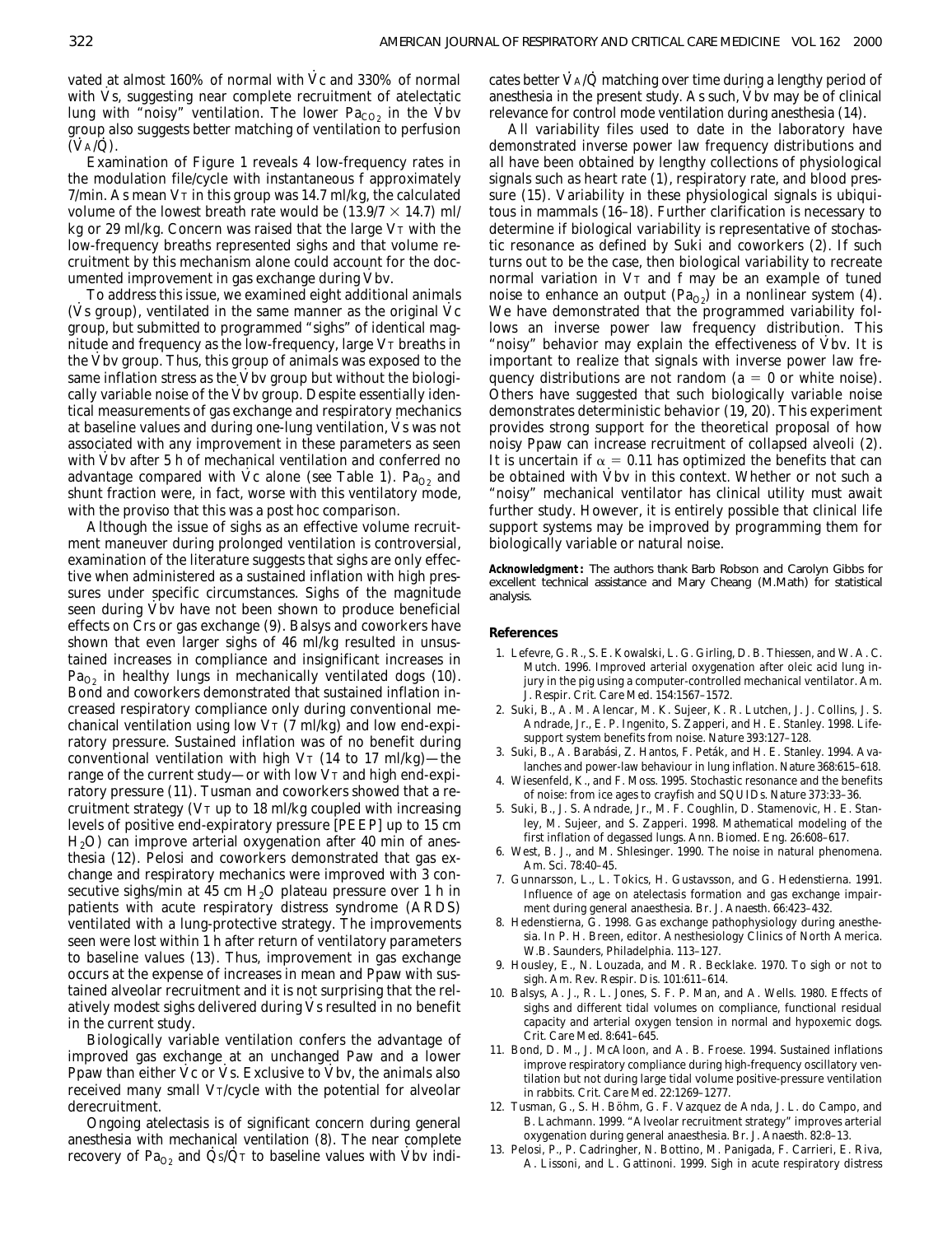vated at almost 160% of normal with  $\dot{\rm V}{\rm c}$  and 330% of normal with Vs, suggesting near complete recruitment of atelectatic lung with "noisy" ventilation. The lower  $Pa_{CO_2}$  in the Vbv group also suggests better matching of ventilation to perfusion  $\overline{\text{V}_A/\text{Q}}$ .

Examination of Figure 1 reveals 4 low-frequency rates in the modulation file/cycle with instantaneous f approximately  $7/m$ in. As mean  $V_T$  in this group was 14.7 ml/kg, the calculated volume of the lowest breath rate would be  $(13.9/7 \times 14.7)$  ml/ kg or 29 ml/kg. Concern was raised that the large V<sub>T</sub> with the low-frequency breaths represented sighs and that volume recruitment by this mechanism alone could account for the documented improvement in gas exchange during Vbv.

To address this issue, we examined eight additional animals  $\overline{V}$  is different to same, we can include the dignal control at an initial control of  $\overline{V}$  couply, ventilated in the same manner as the original  $\overline{V}$  c group, but submitted to programmed "sighs" of identical magnitude and frequency as the low-frequency, large VT breaths in<br>the Vlas frame. Thus, this group of orienal successive and to the the Vbv group. Thus, this group of animals was exposed to the same inflation stress as the Vbv group but without the biologically variable noise of the Vbv group. Despite essentially identical measurements of gas exchange and respiratory mechanics · at baseline values and during one-lung ventilation, Vs was not associated with any improvement in these parameters as seen<br>with  $\vec{X}$ lay often 5 h of machenical contilation and conformed use with Vbv after 5 h of mechanical ventilation and conferred no<br>columnation command with  $\dot{N}_c$  alone (see Table 1). Because advantage compared with Vc alone (*see* Table 1). Pa<sub>O2</sub> and shunt fraction were, in fact, worse with this ventilatory mode, with the proviso that this was a *post hoc* comparison. ·

Although the issue of sighs as an effective volume recruitment maneuver during prolonged ventilation is controversial, examination of the literature suggests that sighs are only effective when administered as a sustained inflation with high pressures under specific circumstances. Sighs of the magnitude<br>case during Vha have not have about to me have handfairly seen during Vbv have not been shown to produce beneficial effects on Crs or gas exchange (9). Balsys and coworkers have shown that even larger sighs of 46 ml/kg resulted in unsustained increases in compliance and insignificant increases in  $Pa<sub>O2</sub>$  in healthy lungs in mechanically ventilated dogs (10). Bond and coworkers demonstrated that sustained inflation increased respiratory compliance only during conventional mechanical ventilation using low  $V_T$  (7 ml/kg) and low end-expiratory pressure. Sustained inflation was of no benefit during conventional ventilation with high  $V_T$  (14 to 17 ml/kg)—the range of the current study—or with low V<sub>T</sub> and high end-expiratory pressure (11). Tusman and coworkers showed that a recruitment strategy (VT up to 18 ml/kg coupled with increasing levels of positive end-expiratory pressure [PEEP] up to 15 cm  $H<sub>2</sub>O$ ) can improve arterial oxygenation after 40 min of anesthesia (12). Pelosi and coworkers demonstrated that gas exchange and respiratory mechanics were improved with 3 consecutive sighs/min at 45 cm  $H<sub>2</sub>O$  plateau pressure over 1 h in patients with acute respiratory distress syndrome (ARDS) ventilated with a lung-protective strategy. The improvements seen were lost within 1 h after return of ventilatory parameters to baseline values (13). Thus, improvement in gas exchange occurs at the expense of increases in mean and Ppaw with sustained alveolar recruitment and it is not surprising that the relatively modest sighs delivered during Vs resulted in no benefit in the current study.

Biologically variable ventilation confers the advantage of improved gas exchange at an unchanged Paw and a lower miproved gas exeminge at an unchanged 1 aw and a rower<br>Ppaw than either  $\dot{V}c$  or  $\dot{V}s$ . Exclusive to  $\dot{V}bv$ , the animals also received many small V<sub>T</sub>/cycle with the potential for alveolar derecruitment.

Ongoing atelectasis is of significant concern during general anesthesia with mechanical ventilation (8). The near complete  $r_{\text{e}}$  and  $\dot{Q}_{\text{S}}/\dot{Q}_{\text{T}}$  to baseline values with Vbv indi-

cates better  $\dot{V}$   $\Delta/Q$  matching over time during a lengthy period of anesthesia in the present study. As such, Vbv may be of clinical relevance for control mode ventilation during anesthesia (14).

All variability files used to date in the laboratory have demonstrated inverse power law frequency distributions and all have been obtained by lengthy collections of physiological signals such as heart rate (1), respiratory rate, and blood pressure (15). Variability in these physiological signals is ubiquitous in mammals (16–18). Further clarification is necessary to determine if biological variability is representative of stochastic resonance as defined by Suki and coworkers (2). If such turns out to be the case, then biological variability to recreate normal variation in VT and f may be an example of tuned noise to enhance an output ( $Pa<sub>O2</sub>$ ) in a nonlinear system (4). We have demonstrated that the programmed variability follows an inverse power law frequency distribution. This "noisy" behavior may explain the effectiveness of Vbv. It is important to realize that signals with inverse power law frequency distributions are not random ( $a = 0$  or white noise). Others have suggested that such biologically variable noise demonstrates deterministic behavior (19, 20). This experiment provides strong support for the theoretical proposal of how noisy Ppaw can increase recruitment of collapsed alveoli (2). It is uncertain if  $\alpha = 0.11$  has optimized the benefits that can<br>be abtained with  $\dot{M}_{\text{B}}$  in this canter Whather as not well as be obtained with Vbv in this context. Whether or not such a "noisy" mechanical ventilator has clinical utility must await further study. However, it is entirely possible that clinical life support systems may be improved by programming them for biologically variable or natural noise.

*Acknowledgment***:** The authors thank Barb Robson and Carolyn Gibbs for excellent technical assistance and Mary Cheang (M.Math) for statistical analysis.

### **References**

- 1. Lefevre, G. R., S. E. Kowalski, L. G. Girling, D. B. Thiessen, and W. A. C. Mutch. 1996. Improved arterial oxygenation after oleic acid lung injury in the pig using a computer-controlled mechanical ventilator. *Am. J. Respir. Crit. Care Med.* 154:1567–1572.
- 2. Suki, B., A. M. Alencar, M. K. Sujeer, K. R. Lutchen, J. J. Collins, J. S. Andrade, Jr., E. P. Ingenito, S. Zapperi, and H. E. Stanley. 1998. Lifesupport system benefits from noise. *Nature* 393:127–128.
- 3. Suki, B., A. Barabási, Z. Hantos, F. Peták, and H. E. Stanley. 1994. Avalanches and power-law behaviour in lung inflation. *Nature* 368:615–618.
- 4. Wiesenfeld, K., and F. Moss. 1995. Stochastic resonance and the benefits of noise: from ice ages to crayfish and SQUIDs. *Nature* 373:33–36.
- 5. Suki, B., J. S. Andrade, Jr., M. F. Coughlin, D. Stamenovic, H. E. Stanley, M. Sujeer, and S. Zapperi. 1998. Mathematical modeling of the first inflation of degassed lungs. *Ann. Biomed. Eng.* 26:608–617.
- 6. West, B. J., and M. Shlesinger. 1990. The noise in natural phenomena. *Am. Sci.* 78:40–45.
- 7. Gunnarsson, L., L. Tokics, H. Gustavsson, and G. Hedenstierna. 1991. Influence of age on atelectasis formation and gas exchange impairment during general anaesthesia. *Br. J. Anaesth.* 66:423–432.
- 8. Hedenstierna, G. 1998. Gas exchange pathophysiology during anesthesia. *In* P. H. Breen, editor. Anesthesiology Clinics of North America. W.B. Saunders, Philadelphia. 113–127.
- 9. Housley, E., N. Louzada, and M. R. Becklake. 1970. To sigh or not to sigh. *Am. Rev. Respir. Dis.* 101:611–614.
- 10. Balsys, A. J., R. L. Jones, S. F. P. Man, and A. Wells. 1980. Effects of sighs and different tidal volumes on compliance, functional residual capacity and arterial oxygen tension in normal and hypoxemic dogs. *Crit. Care Med.* 8:641–645.
- 11. Bond, D. M., J. McAloon, and A. B. Froese. 1994. Sustained inflations improve respiratory compliance during high-frequency oscillatory ventilation but not during large tidal volume positive-pressure ventilation in rabbits. *Crit. Care Med.* 22:1269–1277.
- 12. Tusman, G., S. H. Böhm, G. F. Vazquez de Anda, J. L. do Campo, and B. Lachmann. 1999. "Alveolar recruitment strategy" improves arterial oxygenation during general anaesthesia. *Br. J. Anaesth.* 82:8–13.
- 13. Pelosi, P., P. Cadringher, N. Bottino, M. Panigada, F. Carrieri, E. Riva, A. Lissoni, and L. Gattinoni. 1999. Sigh in acute respiratory distress